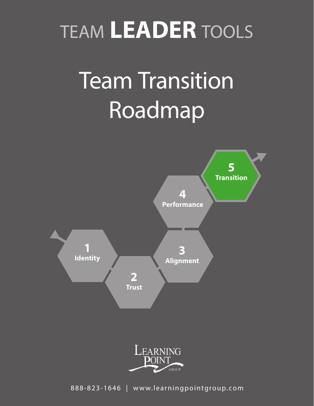# TEAM **LEADER** TOOLS

# **Team Transition** Roadmap



888-823-1646 | www.learningpointgroup.com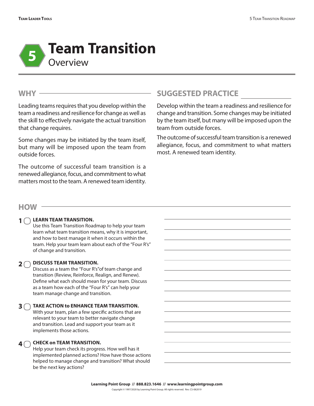

#### **WHY**

Leading teams requires that you develop within the team a readiness and resilience for change as well as the skill to effectively navigate the actual transition that change requires.

Some changes may be initiated by the team itself, but many will be imposed upon the team from outside forces.

The outcome of successful team transition is a renewed allegiance, focus, and commitment to what matters most to the team. A renewed team identity.

## **SUGGESTED PRACTICE**

Develop within the team a readiness and resilience for change and transition. Some changes may be initiated by the team itself, but many will be imposed upon the team from outside forces.

The outcome of successful team transition is a renewed allegiance, focus, and commitment to what matters most. A renewed team identity.

#### **HOW**

#### **1**  $\bigcirc$  LEARN TEAM TRANSITION.

Use this Team Transition Roadmap to help your team learn what team transition means, why it is important, and how to best manage it when it occurs within the team. Help your team learn about each of the "Four R's" of change and transition.

### **2** O DISCUSS TEAM TRANSITION.

Discuss as a team the "Four R's"of team change and transition (Review, Reinforce, Realign, and Renew). Define what each should mean for your team. Discuss as a team how each of the "Four R's" can help your team manage change and transition.

#### **TAKE ACTION to ENHANCE TEAM TRANSITION. 3**

With your team, plan a few specific actions that are relevant to your team to better navigate change and transition. Lead and support your team as it implements those actions.

#### **CHECK on TEAM TRANSITION. 4**  $\bigcap$

Help your team check its progress. How well has it implemented planned actions? How have those actions helped to manage change and transition? What should be the next key actions?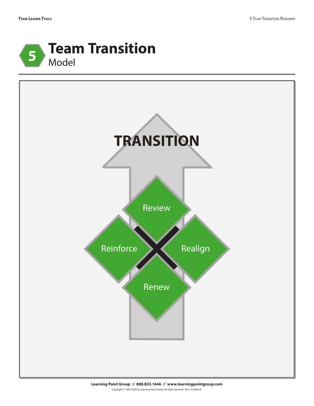



**Learning Point Group // 888.823.1646 // www.learningpointgroup.com** Copyright © 1997/2020 by Learning Point Group. All rights reserved. Rev. CS-082019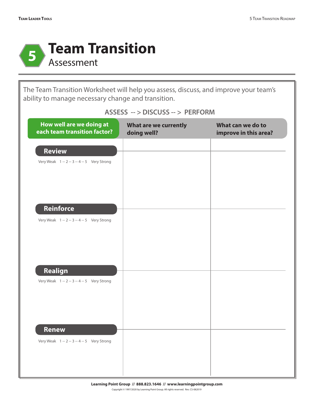

The Team Transition Worksheet will help you assess, discuss, and improve your team's ability to manage necessary change and transition.

| How well are we doing at<br>each team transition factor?    | What are we currently<br>doing well? | What can we do to<br>improve in this area? |
|-------------------------------------------------------------|--------------------------------------|--------------------------------------------|
| <b>Review</b>                                               |                                      |                                            |
| Very Weak 1 -- 2 -- 3 -- 4 -- 5 Very Strong                 |                                      |                                            |
|                                                             |                                      |                                            |
|                                                             |                                      |                                            |
| Reinforce                                                   |                                      |                                            |
| Very Weak 1 -- 2 -- 3 -- 4 -- 5 Very Strong                 |                                      |                                            |
|                                                             |                                      |                                            |
|                                                             |                                      |                                            |
|                                                             |                                      |                                            |
| Realign<br>Very Weak 1 -- 2 -- 3 -- 4 -- 5 Very Strong      |                                      |                                            |
|                                                             |                                      |                                            |
|                                                             |                                      |                                            |
|                                                             |                                      |                                            |
| <b>Renew</b><br>Very Weak 1 -- 2 -- 3 -- 4 -- 5 Very Strong |                                      |                                            |
|                                                             |                                      |                                            |
|                                                             |                                      |                                            |

#### **ASSESS -- > DISCUSS -- > PERFORM**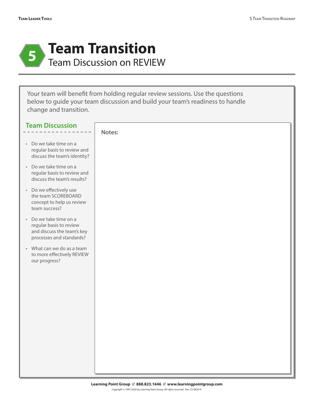

Your team will benefit from holding regular review sessions. Use the questions below to guide your team discussion and build your team's readiness to handle change and transition.

| <b>Team Discussion</b>                                                                                      |        |
|-------------------------------------------------------------------------------------------------------------|--------|
|                                                                                                             | Notes: |
| • Do we take time on a<br>regular basis to review and<br>discuss the team's identity?                       |        |
| • Do we take time on a<br>regular basis to review and<br>discuss the team's results?                        |        |
| • Do we effectively use<br>the team SCOREBOARD<br>concept to help us review<br>team success?                |        |
| • Do we take time on a<br>regular basis to review<br>and discuss the team's key<br>processes and standards? |        |
| • What can we do as a team<br>to more effectively REVIEW<br>our progress?                                   |        |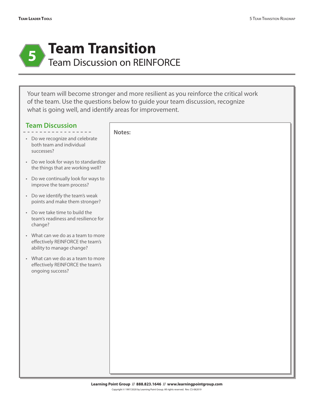

Your team will become stronger and more resilient as you reinforce the critical work of the team. Use the questions below to guide your team discussion, recognize what is going well, and identify areas for improvement.

| <b>Team Discussion</b>                                                                              | Notes: |
|-----------------------------------------------------------------------------------------------------|--------|
| • Do we recognize and celebrate<br>both team and individual<br>successes?                           |        |
| • Do we look for ways to standardize<br>the things that are working well?                           |        |
| • Do we continually look for ways to<br>improve the team process?                                   |        |
| • Do we identify the team's weak<br>points and make them stronger?                                  |        |
| • Do we take time to build the<br>team's readiness and resilience for<br>change?                    |        |
| • What can we do as a team to more<br>effectively REINFORCE the team's<br>ability to manage change? |        |
| • What can we do as a team to more<br>effectively REINFORCE the team's<br>ongoing success?          |        |
|                                                                                                     |        |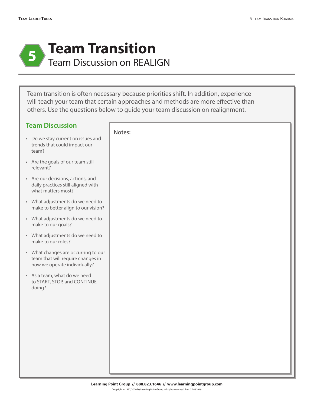

Team transition is often necessary because priorities shift. In addition, experience will teach your team that certain approaches and methods are more effective than others. Use the questions below to guide your team discussion on realignment.

| <b>Team Discussion</b> |  |  |  |  |  |  |  |  |  |  |  |  |  |  |  |  |
|------------------------|--|--|--|--|--|--|--|--|--|--|--|--|--|--|--|--|
|                        |  |  |  |  |  |  |  |  |  |  |  |  |  |  |  |  |

- Do we stay current on issues and trends that could impact our team?
- Are the goals of our team still relevant?
- Are our decisions, actions, and daily practices still aligned with what matters most?
- What adjustments do we need to make to better align to our vision?
- What adjustments do we need to make to our goals?
- What adjustments do we need to make to our roles?
- What changes are occurring to our team that will require changes in how we operate individually?
- As a team, what do we need to START, STOP, and CONTINUE doing?

| Notes: |  |  |
|--------|--|--|
|        |  |  |
|        |  |  |
|        |  |  |
|        |  |  |
|        |  |  |
|        |  |  |
|        |  |  |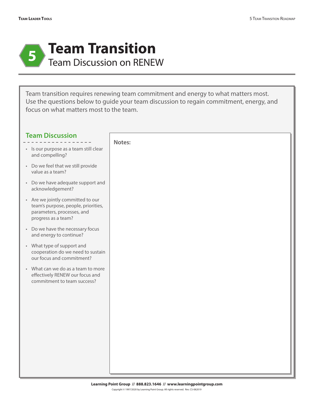

Team transition requires renewing team commitment and energy to what matters most. Use the questions below to guide your team discussion to regain commitment, energy, and focus on what matters most to the team.

| <b>Team Discussion</b>                                                                                                        | Notes: |
|-------------------------------------------------------------------------------------------------------------------------------|--------|
| · Is our purpose as a team still clear<br>and compelling?                                                                     |        |
| • Do we feel that we still provide<br>value as a team?                                                                        |        |
| • Do we have adequate support and<br>acknowledgement?                                                                         |        |
| • Are we jointly committed to our<br>team's purpose, people, priorities,<br>parameters, processes, and<br>progress as a team? |        |
| • Do we have the necessary focus<br>and energy to continue?                                                                   |        |
| • What type of support and<br>cooperation do we need to sustain<br>our focus and commitment?                                  |        |
| • What can we do as a team to more<br>effectively RENEW our focus and<br>commitment to team success?                          |        |
|                                                                                                                               |        |